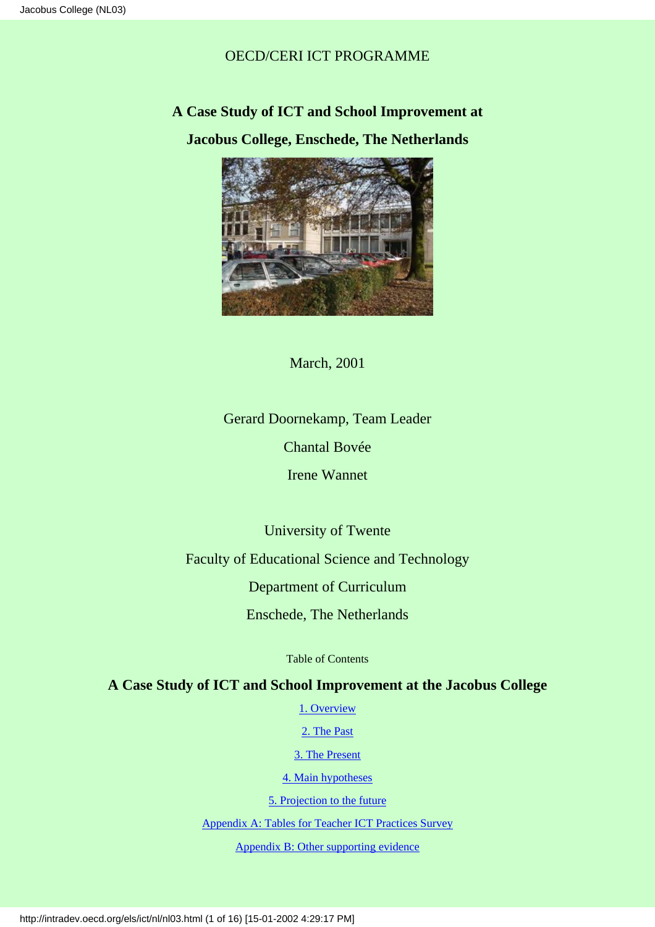# OECD/CERI ICT PROGRAMME

**A Case Study of ICT and School Improvement at Jacobus College, Enschede, The Netherlands**



# March, 2001

# Gerard Doornekamp, Team Leader

Chantal Bovée

Irene Wannet

University of Twente

Faculty of Educational Science and Technology

Department of Curriculum

Enschede, The Netherlands

Table of Contents

# <span id="page-0-0"></span>**A Case Study of ICT and School Improvement at the Jacobus College**

[1. Overview](#page-1-0)

[2. The Past](#page-3-0)

[3. The Present](#page-5-0)

[4. Main hypotheses](#page-9-0)

[5. Projection to the future](#page-10-0)

[Appendix A: Tables for Teacher ICT Practices Survey](#page-11-0)

[Appendix B: Other supporting evidence](#page-15-0)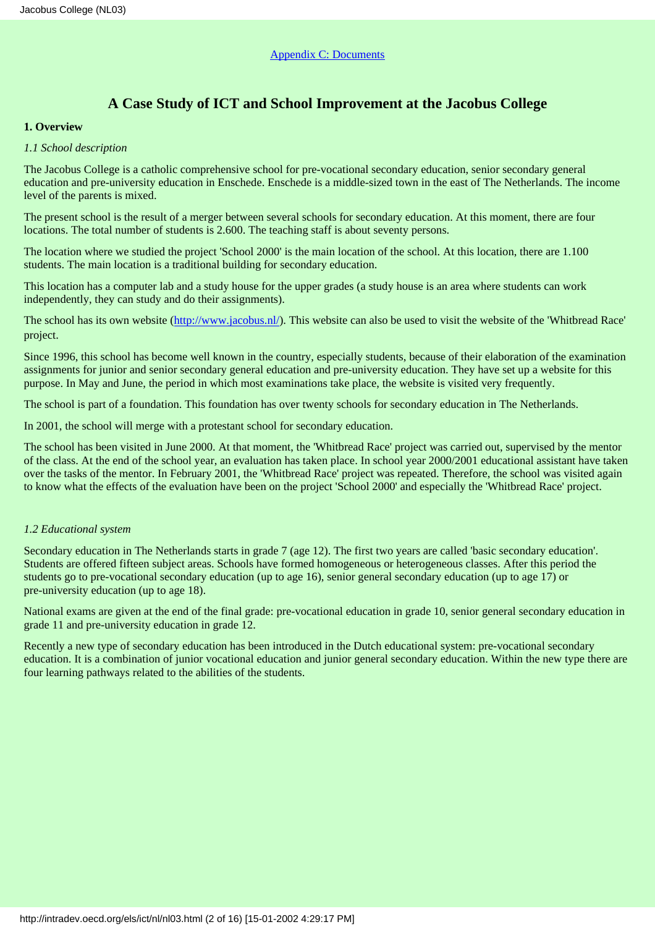# **A Case Study of ICT and School Improvement at the Jacobus College**

# <span id="page-1-0"></span>**1. Overview**

# *1.1 School description*

The Jacobus College is a catholic comprehensive school for pre-vocational secondary education, senior secondary general education and pre-university education in Enschede. Enschede is a middle-sized town in the east of The Netherlands. The income level of the parents is mixed.

The present school is the result of a merger between several schools for secondary education. At this moment, there are four locations. The total number of students is 2.600. The teaching staff is about seventy persons.

The location where we studied the project 'School 2000' is the main location of the school. At this location, there are 1.100 students. The main location is a traditional building for secondary education.

This location has a computer lab and a study house for the upper grades (a study house is an area where students can work independently, they can study and do their assignments).

The school has its own website [\(http://www.jacobus.nl/\)](http://www.jacobus.nl/). This website can also be used to visit the website of the 'Whitbread Race' project.

Since 1996, this school has become well known in the country, especially students, because of their elaboration of the examination assignments for junior and senior secondary general education and pre-university education. They have set up a website for this purpose. In May and June, the period in which most examinations take place, the website is visited very frequently.

The school is part of a foundation. This foundation has over twenty schools for secondary education in The Netherlands.

In 2001, the school will merge with a protestant school for secondary education.

The school has been visited in June 2000. At that moment, the 'Whitbread Race' project was carried out, supervised by the mentor of the class. At the end of the school year, an evaluation has taken place. In school year 2000/2001 educational assistant have taken over the tasks of the mentor. In February 2001, the 'Whitbread Race' project was repeated. Therefore, the school was visited again to know what the effects of the evaluation have been on the project 'School 2000' and especially the 'Whitbread Race' project.

# *1.2 Educational system*

Secondary education in The Netherlands starts in grade 7 (age 12). The first two years are called 'basic secondary education'. Students are offered fifteen subject areas. Schools have formed homogeneous or heterogeneous classes. After this period the students go to pre-vocational secondary education (up to age 16), senior general secondary education (up to age 17) or pre-university education (up to age 18).

National exams are given at the end of the final grade: pre-vocational education in grade 10, senior general secondary education in grade 11 and pre-university education in grade 12.

Recently a new type of secondary education has been introduced in the Dutch educational system: pre-vocational secondary education. It is a combination of junior vocational education and junior general secondary education. Within the new type there are four learning pathways related to the abilities of the students.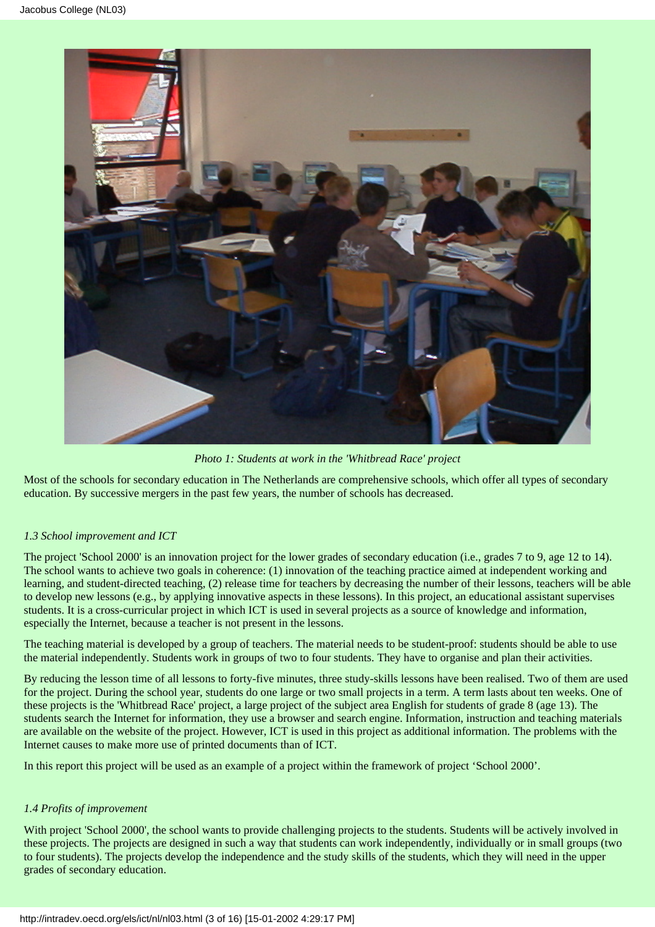

*Photo 1: Students at work in the 'Whitbread Race' project*

Most of the schools for secondary education in The Netherlands are comprehensive schools, which offer all types of secondary education. By successive mergers in the past few years, the number of schools has decreased.

# *1.3 School improvement and ICT*

The project 'School 2000' is an innovation project for the lower grades of secondary education (i.e., grades 7 to 9, age 12 to 14). The school wants to achieve two goals in coherence: (1) innovation of the teaching practice aimed at independent working and learning, and student-directed teaching, (2) release time for teachers by decreasing the number of their lessons, teachers will be able to develop new lessons (e.g., by applying innovative aspects in these lessons). In this project, an educational assistant supervises students. It is a cross-curricular project in which ICT is used in several projects as a source of knowledge and information, especially the Internet, because a teacher is not present in the lessons.

The teaching material is developed by a group of teachers. The material needs to be student-proof: students should be able to use the material independently. Students work in groups of two to four students. They have to organise and plan their activities.

By reducing the lesson time of all lessons to forty-five minutes, three study-skills lessons have been realised. Two of them are used for the project. During the school year, students do one large or two small projects in a term. A term lasts about ten weeks. One of these projects is the 'Whitbread Race' project, a large project of the subject area English for students of grade 8 (age 13). The students search the Internet for information, they use a browser and search engine. Information, instruction and teaching materials are available on the website of the project. However, ICT is used in this project as additional information. The problems with the Internet causes to make more use of printed documents than of ICT.

In this report this project will be used as an example of a project within the framework of project 'School 2000'.

## *1.4 Profits of improvement*

With project 'School 2000', the school wants to provide challenging projects to the students. Students will be actively involved in these projects. The projects are designed in such a way that students can work independently, individually or in small groups (two to four students). The projects develop the independence and the study skills of the students, which they will need in the upper grades of secondary education.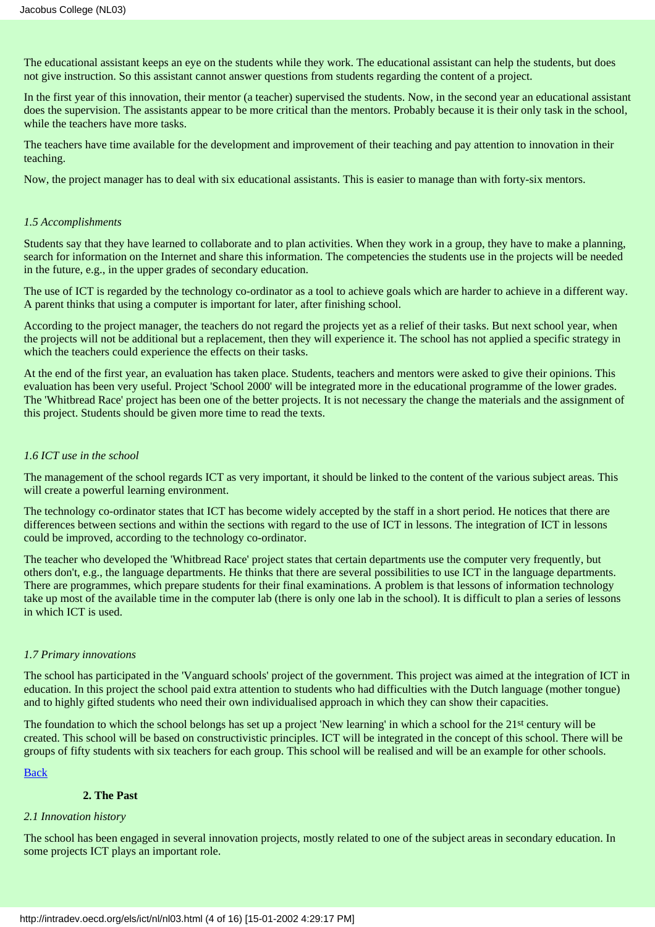The educational assistant keeps an eye on the students while they work. The educational assistant can help the students, but does not give instruction. So this assistant cannot answer questions from students regarding the content of a project.

In the first year of this innovation, their mentor (a teacher) supervised the students. Now, in the second year an educational assistant does the supervision. The assistants appear to be more critical than the mentors. Probably because it is their only task in the school, while the teachers have more tasks.

The teachers have time available for the development and improvement of their teaching and pay attention to innovation in their teaching.

Now, the project manager has to deal with six educational assistants. This is easier to manage than with forty-six mentors.

#### *1.5 Accomplishments*

Students say that they have learned to collaborate and to plan activities. When they work in a group, they have to make a planning, search for information on the Internet and share this information. The competencies the students use in the projects will be needed in the future, e.g., in the upper grades of secondary education.

The use of ICT is regarded by the technology co-ordinator as a tool to achieve goals which are harder to achieve in a different way. A parent thinks that using a computer is important for later, after finishing school.

According to the project manager, the teachers do not regard the projects yet as a relief of their tasks. But next school year, when the projects will not be additional but a replacement, then they will experience it. The school has not applied a specific strategy in which the teachers could experience the effects on their tasks.

At the end of the first year, an evaluation has taken place. Students, teachers and mentors were asked to give their opinions. This evaluation has been very useful. Project 'School 2000' will be integrated more in the educational programme of the lower grades. The 'Whitbread Race' project has been one of the better projects. It is not necessary the change the materials and the assignment of this project. Students should be given more time to read the texts.

## *1.6 ICT use in the school*

The management of the school regards ICT as very important, it should be linked to the content of the various subject areas. This will create a powerful learning environment.

The technology co-ordinator states that ICT has become widely accepted by the staff in a short period. He notices that there are differences between sections and within the sections with regard to the use of ICT in lessons. The integration of ICT in lessons could be improved, according to the technology co-ordinator.

The teacher who developed the 'Whitbread Race' project states that certain departments use the computer very frequently, but others don't, e.g., the language departments. He thinks that there are several possibilities to use ICT in the language departments. There are programmes, which prepare students for their final examinations. A problem is that lessons of information technology take up most of the available time in the computer lab (there is only one lab in the school). It is difficult to plan a series of lessons in which ICT is used.

### *1.7 Primary innovations*

The school has participated in the 'Vanguard schools' project of the government. This project was aimed at the integration of ICT in education. In this project the school paid extra attention to students who had difficulties with the Dutch language (mother tongue) and to highly gifted students who need their own individualised approach in which they can show their capacities.

The foundation to which the school belongs has set up a project 'New learning' in which a school for the 21<sup>st</sup> century will be created. This school will be based on constructivistic principles. ICT will be integrated in the concept of this school. There will be groups of fifty students with six teachers for each group. This school will be realised and will be an example for other schools.

[Back](#page-0-0)

# **2. The Past**

## <span id="page-3-0"></span>*2.1 Innovation history*

The school has been engaged in several innovation projects, mostly related to one of the subject areas in secondary education. In some projects ICT plays an important role.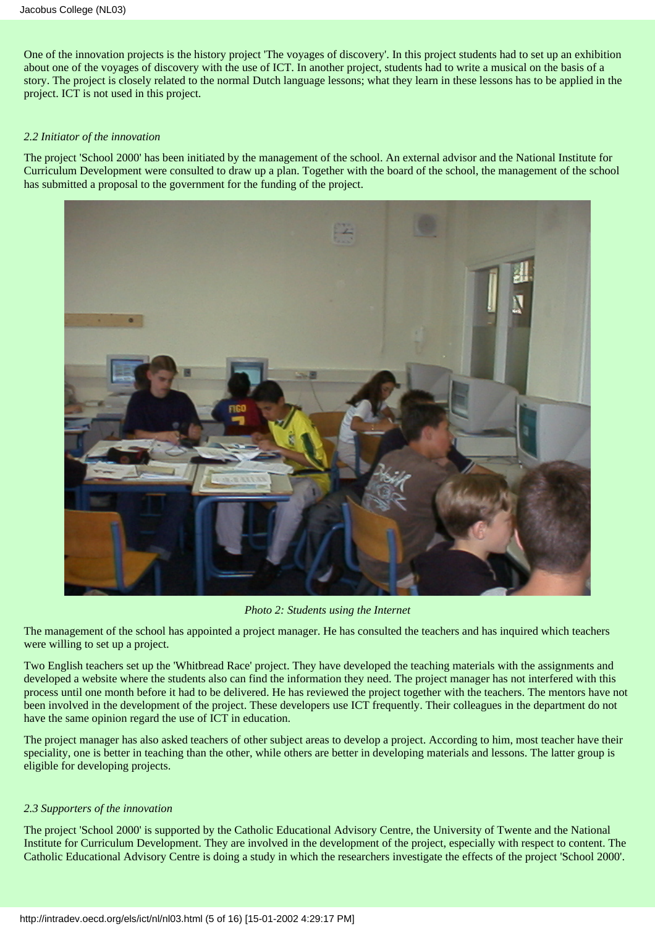One of the innovation projects is the history project 'The voyages of discovery'. In this project students had to set up an exhibition about one of the voyages of discovery with the use of ICT. In another project, students had to write a musical on the basis of a story. The project is closely related to the normal Dutch language lessons; what they learn in these lessons has to be applied in the project. ICT is not used in this project.

### *2.2 Initiator of the innovation*

The project 'School 2000' has been initiated by the management of the school. An external advisor and the National Institute for Curriculum Development were consulted to draw up a plan. Together with the board of the school, the management of the school has submitted a proposal to the government for the funding of the project.



*Photo 2: Students using the Internet*

The management of the school has appointed a project manager. He has consulted the teachers and has inquired which teachers were willing to set up a project.

Two English teachers set up the 'Whitbread Race' project. They have developed the teaching materials with the assignments and developed a website where the students also can find the information they need. The project manager has not interfered with this process until one month before it had to be delivered. He has reviewed the project together with the teachers. The mentors have not been involved in the development of the project. These developers use ICT frequently. Their colleagues in the department do not have the same opinion regard the use of ICT in education.

The project manager has also asked teachers of other subject areas to develop a project. According to him, most teacher have their speciality, one is better in teaching than the other, while others are better in developing materials and lessons. The latter group is eligible for developing projects.

## *2.3 Supporters of the innovation*

The project 'School 2000' is supported by the Catholic Educational Advisory Centre, the University of Twente and the National Institute for Curriculum Development. They are involved in the development of the project, especially with respect to content. The Catholic Educational Advisory Centre is doing a study in which the researchers investigate the effects of the project 'School 2000'.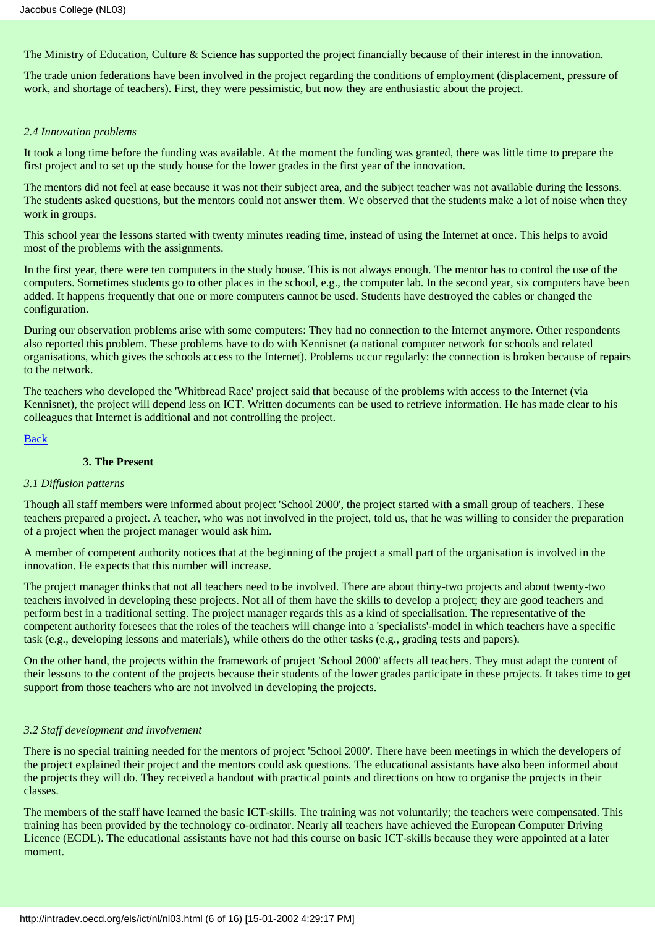The Ministry of Education, Culture & Science has supported the project financially because of their interest in the innovation.

The trade union federations have been involved in the project regarding the conditions of employment (displacement, pressure of work, and shortage of teachers). First, they were pessimistic, but now they are enthusiastic about the project.

## *2.4 Innovation problems*

It took a long time before the funding was available. At the moment the funding was granted, there was little time to prepare the first project and to set up the study house for the lower grades in the first year of the innovation.

The mentors did not feel at ease because it was not their subject area, and the subject teacher was not available during the lessons. The students asked questions, but the mentors could not answer them. We observed that the students make a lot of noise when they work in groups.

This school year the lessons started with twenty minutes reading time, instead of using the Internet at once. This helps to avoid most of the problems with the assignments.

In the first year, there were ten computers in the study house. This is not always enough. The mentor has to control the use of the computers. Sometimes students go to other places in the school, e.g., the computer lab. In the second year, six computers have been added. It happens frequently that one or more computers cannot be used. Students have destroyed the cables or changed the configuration.

During our observation problems arise with some computers: They had no connection to the Internet anymore. Other respondents also reported this problem. These problems have to do with Kennisnet (a national computer network for schools and related organisations, which gives the schools access to the Internet). Problems occur regularly: the connection is broken because of repairs to the network.

The teachers who developed the 'Whitbread Race' project said that because of the problems with access to the Internet (via Kennisnet), the project will depend less on ICT. Written documents can be used to retrieve information. He has made clear to his colleagues that Internet is additional and not controlling the project.

# [Back](#page-0-0)

# **3. The Present**

# <span id="page-5-0"></span>*3.1 Diffusion patterns*

Though all staff members were informed about project 'School 2000', the project started with a small group of teachers. These teachers prepared a project. A teacher, who was not involved in the project, told us, that he was willing to consider the preparation of a project when the project manager would ask him.

A member of competent authority notices that at the beginning of the project a small part of the organisation is involved in the innovation. He expects that this number will increase.

The project manager thinks that not all teachers need to be involved. There are about thirty-two projects and about twenty-two teachers involved in developing these projects. Not all of them have the skills to develop a project; they are good teachers and perform best in a traditional setting. The project manager regards this as a kind of specialisation. The representative of the competent authority foresees that the roles of the teachers will change into a 'specialists'-model in which teachers have a specific task (e.g., developing lessons and materials), while others do the other tasks (e.g., grading tests and papers).

On the other hand, the projects within the framework of project 'School 2000' affects all teachers. They must adapt the content of their lessons to the content of the projects because their students of the lower grades participate in these projects. It takes time to get support from those teachers who are not involved in developing the projects.

# *3.2 Staff development and involvement*

There is no special training needed for the mentors of project 'School 2000'. There have been meetings in which the developers of the project explained their project and the mentors could ask questions. The educational assistants have also been informed about the projects they will do. They received a handout with practical points and directions on how to organise the projects in their classes.

The members of the staff have learned the basic ICT-skills. The training was not voluntarily; the teachers were compensated. This training has been provided by the technology co-ordinator. Nearly all teachers have achieved the European Computer Driving Licence (ECDL). The educational assistants have not had this course on basic ICT-skills because they were appointed at a later moment.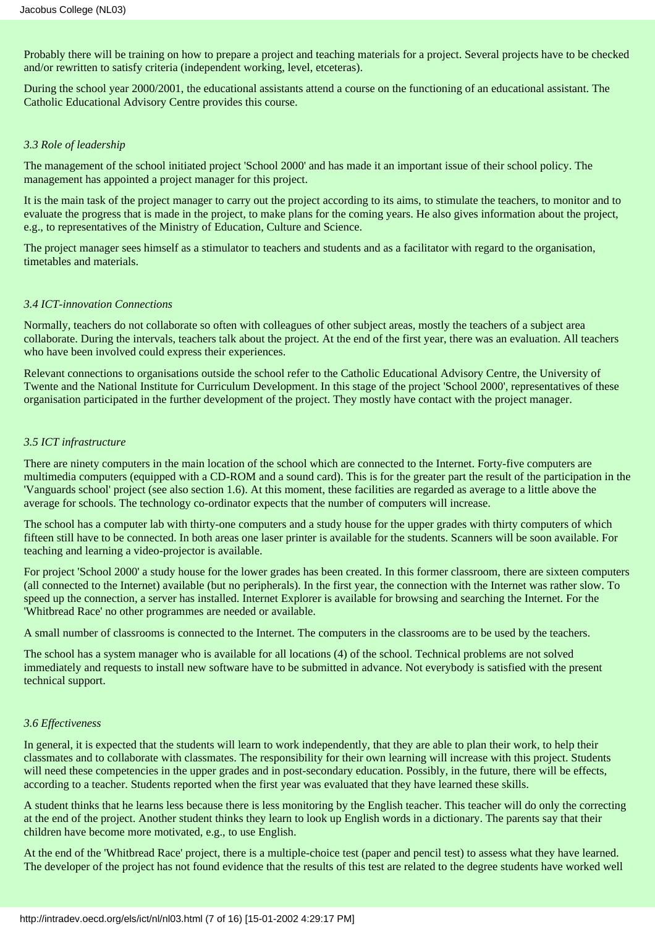Probably there will be training on how to prepare a project and teaching materials for a project. Several projects have to be checked and/or rewritten to satisfy criteria (independent working, level, etceteras).

During the school year 2000/2001, the educational assistants attend a course on the functioning of an educational assistant. The Catholic Educational Advisory Centre provides this course.

### *3.3 Role of leadership*

The management of the school initiated project 'School 2000' and has made it an important issue of their school policy. The management has appointed a project manager for this project.

It is the main task of the project manager to carry out the project according to its aims, to stimulate the teachers, to monitor and to evaluate the progress that is made in the project, to make plans for the coming years. He also gives information about the project, e.g., to representatives of the Ministry of Education, Culture and Science.

The project manager sees himself as a stimulator to teachers and students and as a facilitator with regard to the organisation, timetables and materials.

#### *3.4 ICT-innovation Connections*

Normally, teachers do not collaborate so often with colleagues of other subject areas, mostly the teachers of a subject area collaborate. During the intervals, teachers talk about the project. At the end of the first year, there was an evaluation. All teachers who have been involved could express their experiences.

Relevant connections to organisations outside the school refer to the Catholic Educational Advisory Centre, the University of Twente and the National Institute for Curriculum Development. In this stage of the project 'School 2000', representatives of these organisation participated in the further development of the project. They mostly have contact with the project manager.

#### *3.5 ICT infrastructure*

There are ninety computers in the main location of the school which are connected to the Internet. Forty-five computers are multimedia computers (equipped with a CD-ROM and a sound card). This is for the greater part the result of the participation in the 'Vanguards school' project (see also section 1.6). At this moment, these facilities are regarded as average to a little above the average for schools. The technology co-ordinator expects that the number of computers will increase.

The school has a computer lab with thirty-one computers and a study house for the upper grades with thirty computers of which fifteen still have to be connected. In both areas one laser printer is available for the students. Scanners will be soon available. For teaching and learning a video-projector is available.

For project 'School 2000' a study house for the lower grades has been created. In this former classroom, there are sixteen computers (all connected to the Internet) available (but no peripherals). In the first year, the connection with the Internet was rather slow. To speed up the connection, a server has installed. Internet Explorer is available for browsing and searching the Internet. For the 'Whitbread Race' no other programmes are needed or available.

A small number of classrooms is connected to the Internet. The computers in the classrooms are to be used by the teachers.

The school has a system manager who is available for all locations (4) of the school. Technical problems are not solved immediately and requests to install new software have to be submitted in advance. Not everybody is satisfied with the present technical support.

## *3.6 Effectiveness*

In general, it is expected that the students will learn to work independently, that they are able to plan their work, to help their classmates and to collaborate with classmates. The responsibility for their own learning will increase with this project. Students will need these competencies in the upper grades and in post-secondary education. Possibly, in the future, there will be effects, according to a teacher. Students reported when the first year was evaluated that they have learned these skills.

A student thinks that he learns less because there is less monitoring by the English teacher. This teacher will do only the correcting at the end of the project. Another student thinks they learn to look up English words in a dictionary. The parents say that their children have become more motivated, e.g., to use English.

At the end of the 'Whitbread Race' project, there is a multiple-choice test (paper and pencil test) to assess what they have learned. The developer of the project has not found evidence that the results of this test are related to the degree students have worked well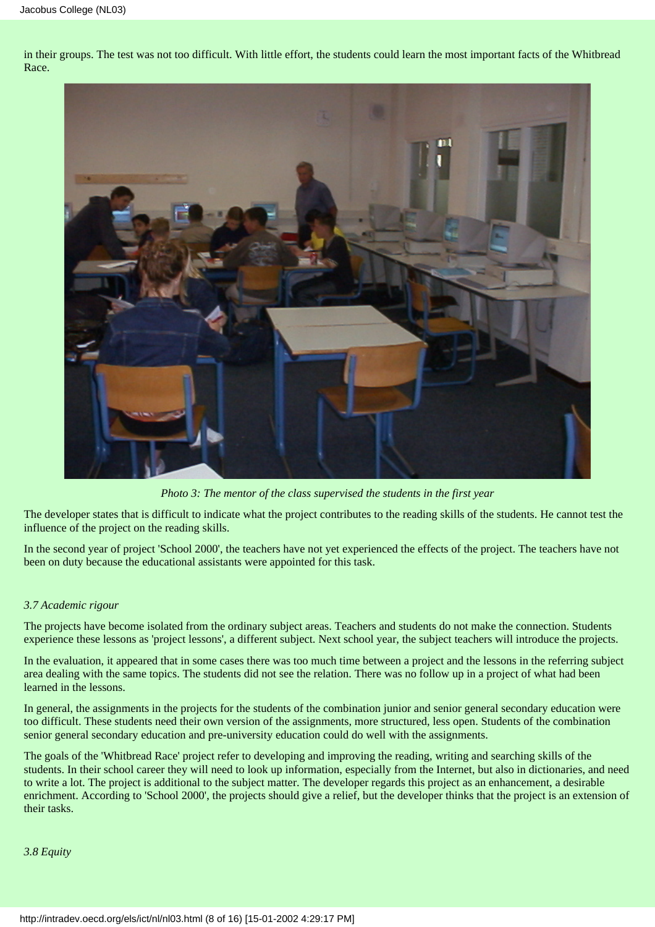in their groups. The test was not too difficult. With little effort, the students could learn the most important facts of the Whitbread Race.



*Photo 3: The mentor of the class supervised the students in the first year*

The developer states that is difficult to indicate what the project contributes to the reading skills of the students. He cannot test the influence of the project on the reading skills.

In the second year of project 'School 2000', the teachers have not yet experienced the effects of the project. The teachers have not been on duty because the educational assistants were appointed for this task.

## *3.7 Academic rigour*

The projects have become isolated from the ordinary subject areas. Teachers and students do not make the connection. Students experience these lessons as 'project lessons', a different subject. Next school year, the subject teachers will introduce the projects.

In the evaluation, it appeared that in some cases there was too much time between a project and the lessons in the referring subject area dealing with the same topics. The students did not see the relation. There was no follow up in a project of what had been learned in the lessons.

In general, the assignments in the projects for the students of the combination junior and senior general secondary education were too difficult. These students need their own version of the assignments, more structured, less open. Students of the combination senior general secondary education and pre-university education could do well with the assignments.

The goals of the 'Whitbread Race' project refer to developing and improving the reading, writing and searching skills of the students. In their school career they will need to look up information, especially from the Internet, but also in dictionaries, and need to write a lot. The project is additional to the subject matter. The developer regards this project as an enhancement, a desirable enrichment. According to 'School 2000', the projects should give a relief, but the developer thinks that the project is an extension of their tasks.

*3.8 Equity*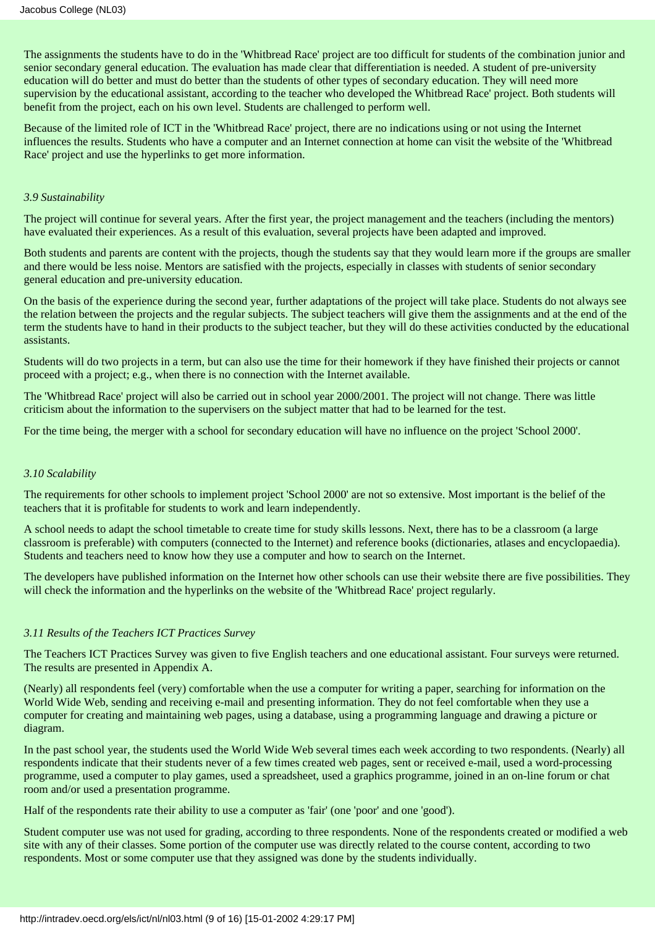The assignments the students have to do in the 'Whitbread Race' project are too difficult for students of the combination junior and senior secondary general education. The evaluation has made clear that differentiation is needed. A student of pre-university education will do better and must do better than the students of other types of secondary education. They will need more supervision by the educational assistant, according to the teacher who developed the Whitbread Race' project. Both students will benefit from the project, each on his own level. Students are challenged to perform well.

Because of the limited role of ICT in the 'Whitbread Race' project, there are no indications using or not using the Internet influences the results. Students who have a computer and an Internet connection at home can visit the website of the 'Whitbread Race' project and use the hyperlinks to get more information.

# *3.9 Sustainability*

The project will continue for several years. After the first year, the project management and the teachers (including the mentors) have evaluated their experiences. As a result of this evaluation, several projects have been adapted and improved.

Both students and parents are content with the projects, though the students say that they would learn more if the groups are smaller and there would be less noise. Mentors are satisfied with the projects, especially in classes with students of senior secondary general education and pre-university education.

On the basis of the experience during the second year, further adaptations of the project will take place. Students do not always see the relation between the projects and the regular subjects. The subject teachers will give them the assignments and at the end of the term the students have to hand in their products to the subject teacher, but they will do these activities conducted by the educational assistants.

Students will do two projects in a term, but can also use the time for their homework if they have finished their projects or cannot proceed with a project; e.g., when there is no connection with the Internet available.

The 'Whitbread Race' project will also be carried out in school year 2000/2001. The project will not change. There was little criticism about the information to the supervisers on the subject matter that had to be learned for the test.

For the time being, the merger with a school for secondary education will have no influence on the project 'School 2000'.

# *3.10 Scalability*

The requirements for other schools to implement project 'School 2000' are not so extensive. Most important is the belief of the teachers that it is profitable for students to work and learn independently.

A school needs to adapt the school timetable to create time for study skills lessons. Next, there has to be a classroom (a large classroom is preferable) with computers (connected to the Internet) and reference books (dictionaries, atlases and encyclopaedia). Students and teachers need to know how they use a computer and how to search on the Internet.

The developers have published information on the Internet how other schools can use their website there are five possibilities. They will check the information and the hyperlinks on the website of the 'Whitbread Race' project regularly.

# *3.11 Results of the Teachers ICT Practices Survey*

The Teachers ICT Practices Survey was given to five English teachers and one educational assistant. Four surveys were returned. The results are presented in Appendix A.

(Nearly) all respondents feel (very) comfortable when the use a computer for writing a paper, searching for information on the World Wide Web, sending and receiving e-mail and presenting information. They do not feel comfortable when they use a computer for creating and maintaining web pages, using a database, using a programming language and drawing a picture or diagram.

In the past school year, the students used the World Wide Web several times each week according to two respondents. (Nearly) all respondents indicate that their students never of a few times created web pages, sent or received e-mail, used a word-processing programme, used a computer to play games, used a spreadsheet, used a graphics programme, joined in an on-line forum or chat room and/or used a presentation programme.

Half of the respondents rate their ability to use a computer as 'fair' (one 'poor' and one 'good').

Student computer use was not used for grading, according to three respondents. None of the respondents created or modified a web site with any of their classes. Some portion of the computer use was directly related to the course content, according to two respondents. Most or some computer use that they assigned was done by the students individually.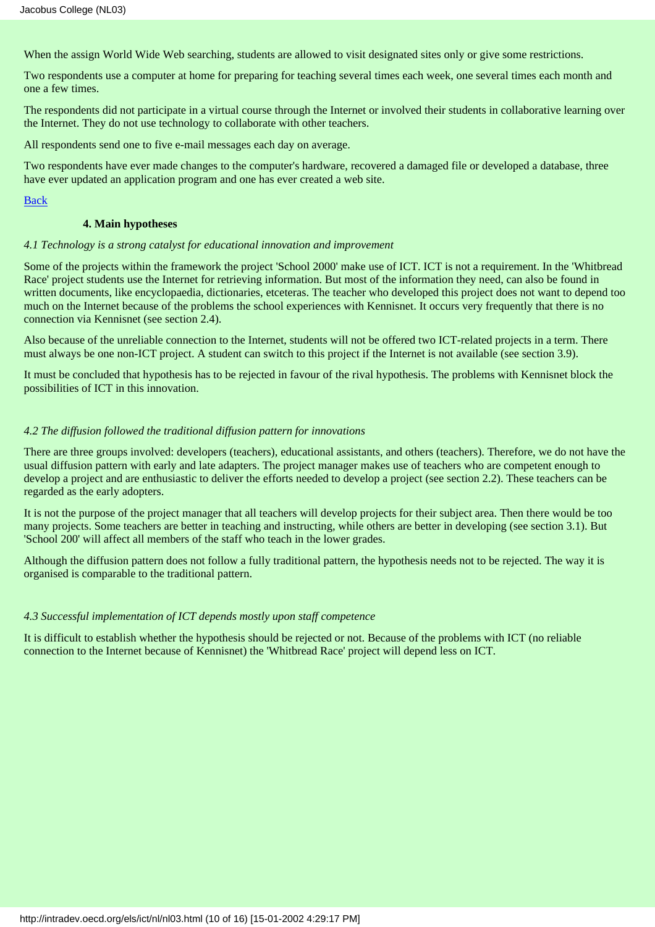When the assign World Wide Web searching, students are allowed to visit designated sites only or give some restrictions.

Two respondents use a computer at home for preparing for teaching several times each week, one several times each month and one a few times.

The respondents did not participate in a virtual course through the Internet or involved their students in collaborative learning over the Internet. They do not use technology to collaborate with other teachers.

All respondents send one to five e-mail messages each day on average.

Two respondents have ever made changes to the computer's hardware, recovered a damaged file or developed a database, three have ever updated an application program and one has ever created a web site.

#### [Back](#page-0-0)

### **4. Main hypotheses**

#### <span id="page-9-0"></span>*4.1 Technology is a strong catalyst for educational innovation and improvement*

Some of the projects within the framework the project 'School 2000' make use of ICT. ICT is not a requirement. In the 'Whitbread Race' project students use the Internet for retrieving information. But most of the information they need, can also be found in written documents, like encyclopaedia, dictionaries, etceteras. The teacher who developed this project does not want to depend too much on the Internet because of the problems the school experiences with Kennisnet. It occurs very frequently that there is no connection via Kennisnet (see section 2.4).

Also because of the unreliable connection to the Internet, students will not be offered two ICT-related projects in a term. There must always be one non-ICT project. A student can switch to this project if the Internet is not available (see section 3.9).

It must be concluded that hypothesis has to be rejected in favour of the rival hypothesis. The problems with Kennisnet block the possibilities of ICT in this innovation.

## *4.2 The diffusion followed the traditional diffusion pattern for innovations*

There are three groups involved: developers (teachers), educational assistants, and others (teachers). Therefore, we do not have the usual diffusion pattern with early and late adapters. The project manager makes use of teachers who are competent enough to develop a project and are enthusiastic to deliver the efforts needed to develop a project (see section 2.2). These teachers can be regarded as the early adopters.

It is not the purpose of the project manager that all teachers will develop projects for their subject area. Then there would be too many projects. Some teachers are better in teaching and instructing, while others are better in developing (see section 3.1). But 'School 200' will affect all members of the staff who teach in the lower grades.

Although the diffusion pattern does not follow a fully traditional pattern, the hypothesis needs not to be rejected. The way it is organised is comparable to the traditional pattern.

#### *4.3 Successful implementation of ICT depends mostly upon staff competence*

It is difficult to establish whether the hypothesis should be rejected or not. Because of the problems with ICT (no reliable connection to the Internet because of Kennisnet) the 'Whitbread Race' project will depend less on ICT.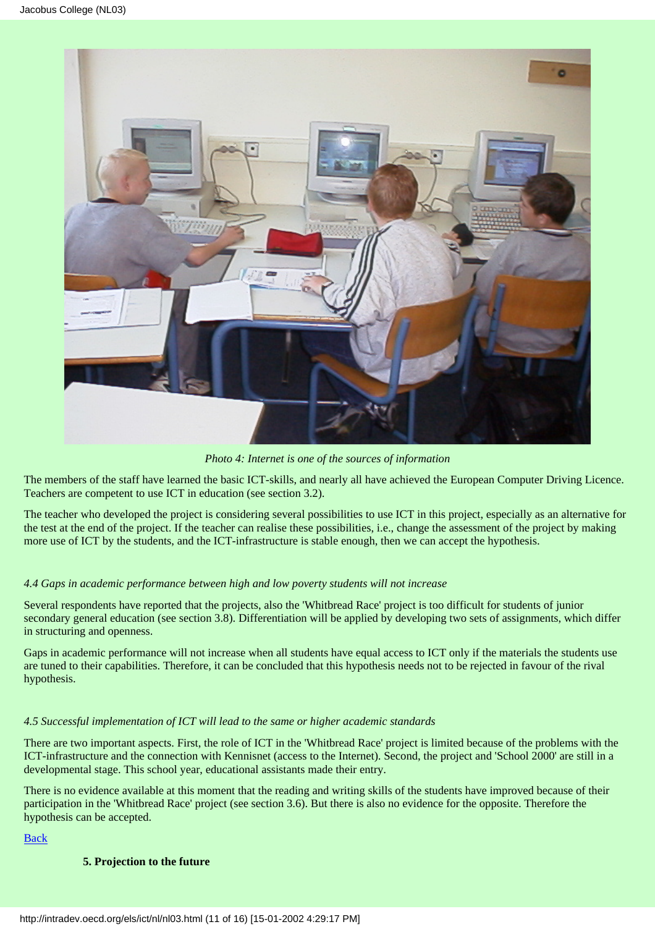

*Photo 4: Internet is one of the sources of information*

The members of the staff have learned the basic ICT-skills, and nearly all have achieved the European Computer Driving Licence. Teachers are competent to use ICT in education (see section 3.2).

The teacher who developed the project is considering several possibilities to use ICT in this project, especially as an alternative for the test at the end of the project. If the teacher can realise these possibilities, i.e., change the assessment of the project by making more use of ICT by the students, and the ICT-infrastructure is stable enough, then we can accept the hypothesis.

# *4.4 Gaps in academic performance between high and low poverty students will not increase*

Several respondents have reported that the projects, also the 'Whitbread Race' project is too difficult for students of junior secondary general education (see section 3.8). Differentiation will be applied by developing two sets of assignments, which differ in structuring and openness.

Gaps in academic performance will not increase when all students have equal access to ICT only if the materials the students use are tuned to their capabilities. Therefore, it can be concluded that this hypothesis needs not to be rejected in favour of the rival hypothesis.

#### *4.5 Successful implementation of ICT will lead to the same or higher academic standards*

There are two important aspects. First, the role of ICT in the 'Whitbread Race' project is limited because of the problems with the ICT-infrastructure and the connection with Kennisnet (access to the Internet). Second, the project and 'School 2000' are still in a developmental stage. This school year, educational assistants made their entry.

There is no evidence available at this moment that the reading and writing skills of the students have improved because of their participation in the 'Whitbread Race' project (see section 3.6). But there is also no evidence for the opposite. Therefore the hypothesis can be accepted.

## <span id="page-10-0"></span>[Back](#page-0-0)

## **5. Projection to the future**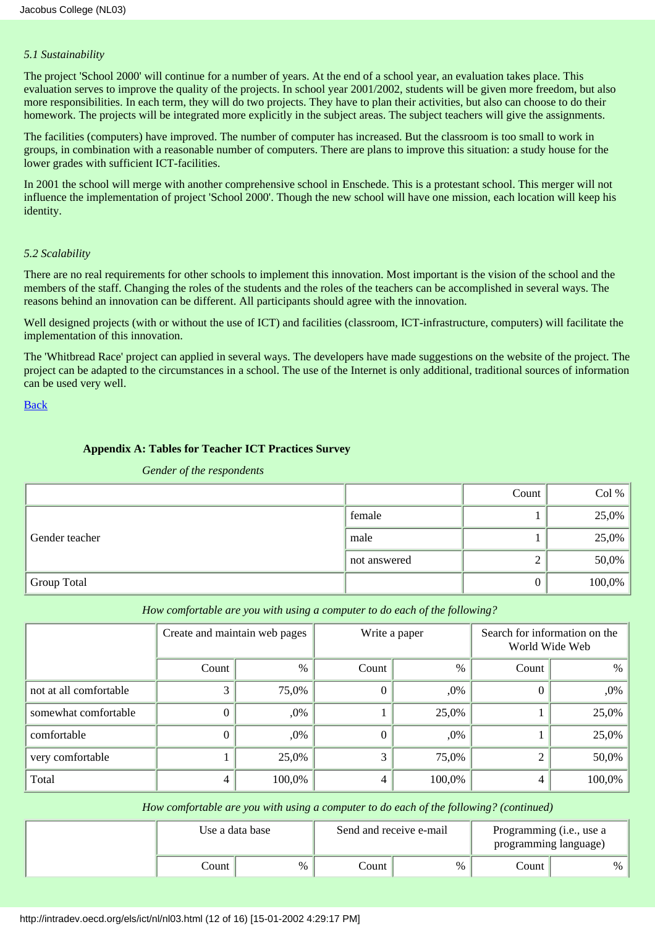# *5.1 Sustainability*

The project 'School 2000' will continue for a number of years. At the end of a school year, an evaluation takes place. This evaluation serves to improve the quality of the projects. In school year 2001/2002, students will be given more freedom, but also more responsibilities. In each term, they will do two projects. They have to plan their activities, but also can choose to do their homework. The projects will be integrated more explicitly in the subject areas. The subject teachers will give the assignments.

The facilities (computers) have improved. The number of computer has increased. But the classroom is too small to work in groups, in combination with a reasonable number of computers. There are plans to improve this situation: a study house for the lower grades with sufficient ICT-facilities.

In 2001 the school will merge with another comprehensive school in Enschede. This is a protestant school. This merger will not influence the implementation of project 'School 2000'. Though the new school will have one mission, each location will keep his identity.

## *5.2 Scalability*

There are no real requirements for other schools to implement this innovation. Most important is the vision of the school and the members of the staff. Changing the roles of the students and the roles of the teachers can be accomplished in several ways. The reasons behind an innovation can be different. All participants should agree with the innovation.

Well designed projects (with or without the use of ICT) and facilities (classroom, ICT-infrastructure, computers) will facilitate the implementation of this innovation.

The 'Whitbread Race' project can applied in several ways. The developers have made suggestions on the website of the project. The project can be adapted to the circumstances in a school. The use of the Internet is only additional, traditional sources of information can be used very well.

[Back](#page-0-0)

# **Appendix A: Tables for Teacher ICT Practices Survey**

*Gender of the respondents*

<span id="page-11-0"></span>

|                |              | Count | Col $%$ |
|----------------|--------------|-------|---------|
|                | female       |       | 25,0%   |
| Gender teacher | male         |       | 25,0%   |
|                | not answered |       | 50,0%   |
| Group Total    |              |       | 100,0%  |

## *How comfortable are you with using a computer to do each of the following?*

|                        | Create and maintain web pages |        | Write a paper |        | Search for information on the<br>World Wide Web |        |  |  |
|------------------------|-------------------------------|--------|---------------|--------|-------------------------------------------------|--------|--|--|
|                        | Count                         | $\%$   | Count         | $\%$   | Count                                           | $\%$   |  |  |
| not at all comfortable | 3                             | 75,0%  | $\theta$      | $,0\%$ | 0                                               | ,0%    |  |  |
| somewhat comfortable   |                               | ,0%    |               | 25,0%  |                                                 | 25,0%  |  |  |
| comfortable            |                               | ,0%    | $\Omega$      | ,0%    |                                                 | 25,0%  |  |  |
| very comfortable       |                               | 25,0%  | 3             | 75,0%  |                                                 | 50,0%  |  |  |
| Total                  |                               | 100,0% | 4             | 100,0% | 4                                               | 100,0% |  |  |

*How comfortable are you with using a computer to do each of the following? (continued)*

| Use a data base |   |        | Send and receive e-mail |       | Programming ( <i>i.e.</i> , use a<br>programming language) |  |
|-----------------|---|--------|-------------------------|-------|------------------------------------------------------------|--|
| `ount           | % | .`ount | $\%$                    | Count | $\%$                                                       |  |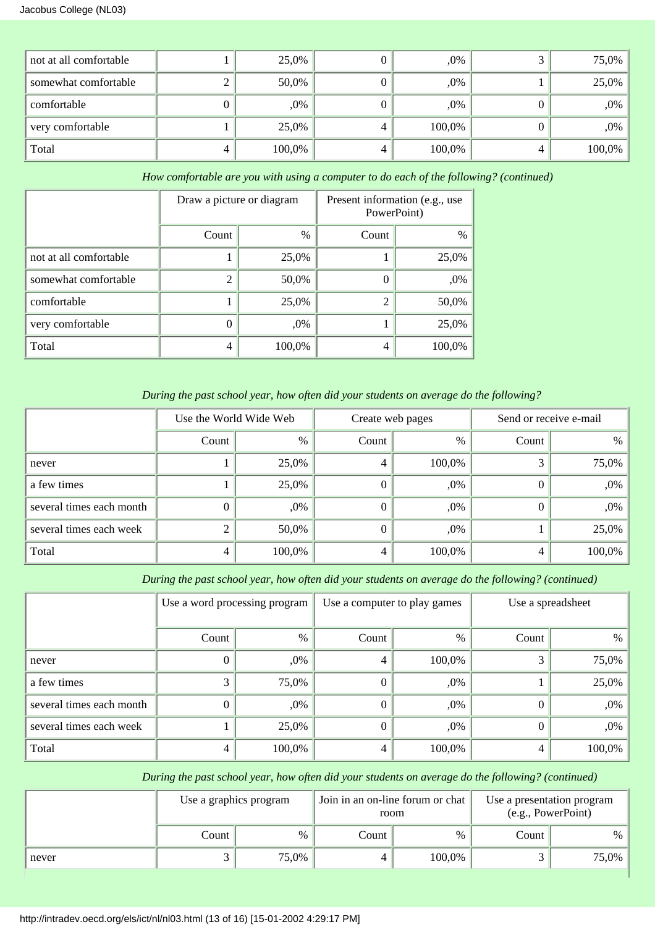| not at all comfortable | 25,0%  | $,0\%$ |   | 75,0%  |
|------------------------|--------|--------|---|--------|
| somewhat comfortable   | 50,0%  | ,0%    |   | 25,0%  |
| comfortable            | ,0%    | ,0%    | U | $,0\%$ |
| very comfortable       | 25,0%  | 100,0% | U | $,0\%$ |
| Total                  | 100,0% | 100,0% | 4 | 100,0% |

*How comfortable are you with using a computer to do each of the following? (continued)*

|                        | Draw a picture or diagram |        | Present information (e.g., use<br>PowerPoint) |        |
|------------------------|---------------------------|--------|-----------------------------------------------|--------|
|                        | Count                     | $\%$   | Count                                         | $\%$   |
| not at all comfortable |                           | 25,0%  |                                               | 25,0%  |
| somewhat comfortable   | 2                         | 50,0%  | 0                                             | ,0%    |
| comfortable            |                           | 25,0%  | 2                                             | 50,0%  |
| very comfortable       | 0                         | $,0\%$ |                                               | 25,0%  |
| Total                  | 4                         | 100,0% | 4                                             | 100,0% |

# *During the past school year, how often did your students on average do the following?*

|                          | Use the World Wide Web |        | Create web pages |        | Send or receive e-mail |        |
|--------------------------|------------------------|--------|------------------|--------|------------------------|--------|
|                          | Count                  | $\%$   | Count            | $\%$   | Count                  | $\%$   |
| never                    |                        | 25,0%  | 4                | 100,0% |                        | 75,0%  |
| a few times              |                        | 25,0%  | $\theta$         | $,0\%$ |                        | ,0%    |
| several times each month |                        | ,0%    | $\theta$         | ,0%    |                        | ,0%    |
| several times each week  |                        | 50,0%  | $\theta$         | $,0\%$ |                        | 25,0%  |
| Total                    |                        | 100,0% | 4                | 100,0% | 4                      | 100,0% |

*During the past school year, how often did your students on average do the following? (continued)*

|                          | Use a word processing program |        | Use a computer to play games |        | Use a spreadsheet |        |
|--------------------------|-------------------------------|--------|------------------------------|--------|-------------------|--------|
|                          | Count                         | %      | Count                        | $\%$   | Count             | $\%$   |
| never                    |                               | ,0%    | 4                            | 100,0% |                   | 75,0%  |
| a few times              |                               | 75,0%  |                              | $,0\%$ |                   | 25,0%  |
| several times each month | U                             | ,0%    | 0                            | $,0\%$ | O                 | ,0%    |
| several times each week  |                               | 25,0%  | 0                            | ,0%    | $\theta$          | ,0%    |
| Total                    | 4                             | 100,0% | 4                            | 100,0% | 4                 | 100,0% |

*During the past school year, how often did your students on average do the following? (continued)*

|       | Use a graphics program |       | Join in an on-line forum or chat<br>room |        | Use a presentation program<br>(e.g., PowerPoint) |          |
|-------|------------------------|-------|------------------------------------------|--------|--------------------------------------------------|----------|
|       | Count                  | $\%$  | Count                                    | $\%$   | Count                                            | $\%$     |
| never |                        | 75,0% | 4                                        | 100,0% |                                                  | $75,0\%$ |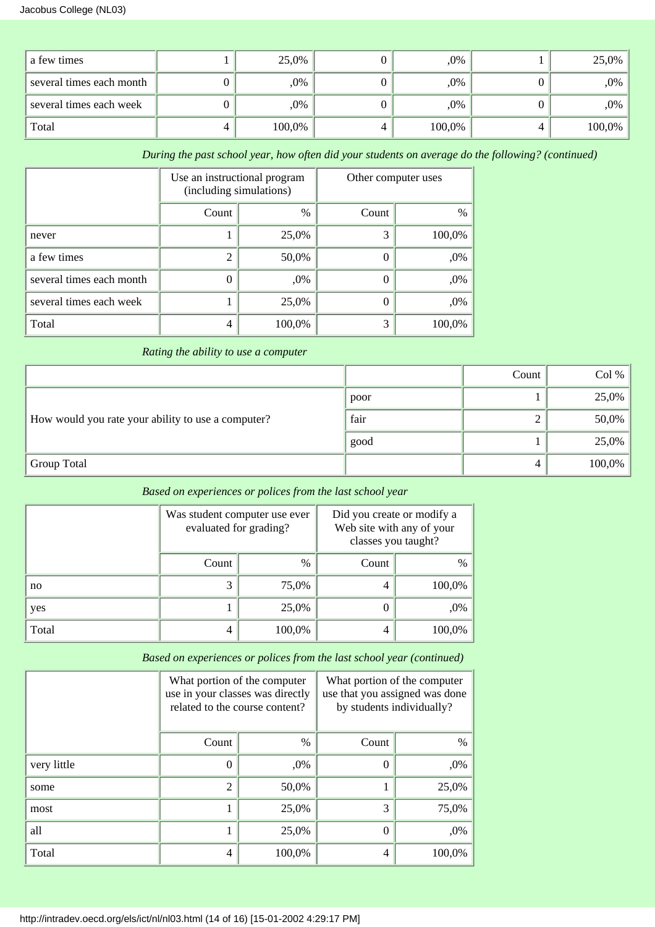| a few times              | 25,0%  | ,0%    | $25,0\%$ |
|--------------------------|--------|--------|----------|
| several times each month | ,0%    | ,0%    | ,0%      |
| several times each week  | ,0%    | ,0%    | ,0%      |
| Total                    | 100,0% | 100,0% | 100,0%   |

# *During the past school year, how often did your students on average do the following? (continued)*

|                          | Use an instructional program<br>(including simulations) |        |       | Other computer uses |
|--------------------------|---------------------------------------------------------|--------|-------|---------------------|
|                          | Count                                                   | $\%$   | Count | %                   |
| never                    |                                                         | 25,0%  | 3     | 100,0%              |
| a few times              | 2                                                       | 50,0%  |       | ,0%                 |
| several times each month | 0                                                       | ,0%    | 0     | ,0%                 |
| several times each week  |                                                         | 25,0%  | 0     | ,0%                 |
| Total                    | 4                                                       | 100,0% | 3     | 100,0%              |

# *Rating the ability to use a computer*

|                                                    |      | Count | Col %     |
|----------------------------------------------------|------|-------|-----------|
|                                                    | poor |       | $25,0\%$  |
| How would you rate your ability to use a computer? | fair |       | $50,0\%$  |
|                                                    | good |       | $25,0\%$  |
| Group Total                                        |      |       | $100,0\%$ |

# *Based on experiences or polices from the last school year*

|       | Was student computer use ever<br>evaluated for grading? |        | Did you create or modify a<br>classes you taught? | Web site with any of your |
|-------|---------------------------------------------------------|--------|---------------------------------------------------|---------------------------|
|       | Count                                                   | $\%$   | Count                                             | $\frac{0}{0}$             |
| no    | 3                                                       | 75,0%  | 4                                                 | 100,0%                    |
| yes   |                                                         | 25,0%  |                                                   | ,0%                       |
| Total | 4                                                       | 100,0% | 4                                                 | 100,0%                    |

# *Based on experiences or polices from the last school year (continued)*

|             | What portion of the computer<br>use in your classes was directly<br>related to the course content? |               | What portion of the computer<br>use that you assigned was done<br>by students individually? |        |  |
|-------------|----------------------------------------------------------------------------------------------------|---------------|---------------------------------------------------------------------------------------------|--------|--|
|             | Count                                                                                              | $\frac{0}{0}$ | Count                                                                                       | $\%$   |  |
| very little |                                                                                                    | ,0%           | $\theta$                                                                                    | $,0\%$ |  |
| some        | $\overline{2}$                                                                                     | 50,0%         |                                                                                             | 25,0%  |  |
| most        | 1                                                                                                  | 25,0%         | 3                                                                                           | 75,0%  |  |
| all         |                                                                                                    | 25,0%         | $\theta$                                                                                    | $,0\%$ |  |
| Total       | 4                                                                                                  | 100,0%        | 4                                                                                           | 100,0% |  |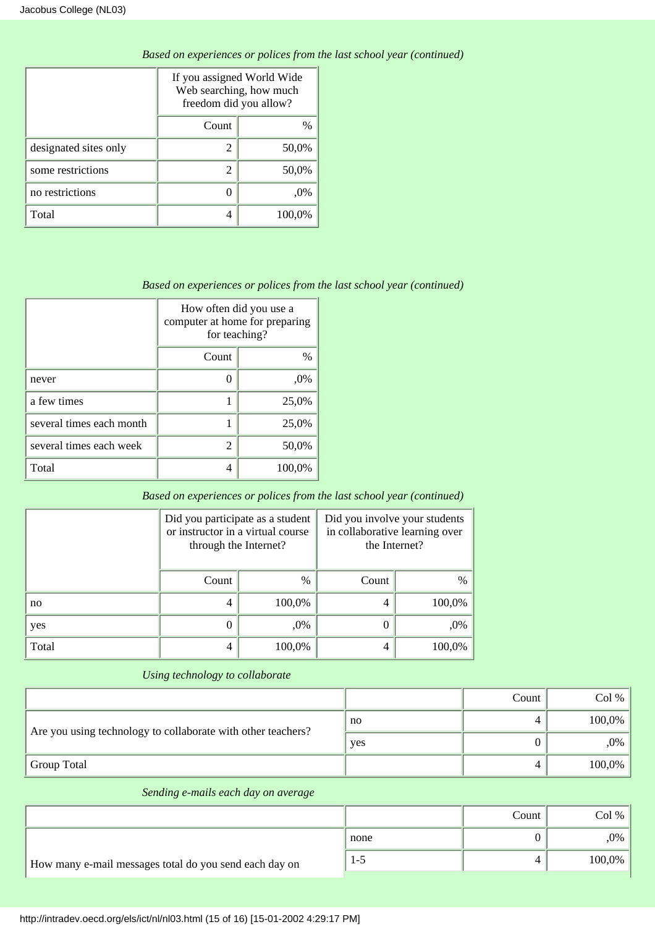|                       | If you assigned World Wide<br>Web searching, how much<br>freedom did you allow? |        |  |  |  |
|-----------------------|---------------------------------------------------------------------------------|--------|--|--|--|
|                       | Count<br>$\%$                                                                   |        |  |  |  |
| designated sites only | 2                                                                               | 50,0%  |  |  |  |
| some restrictions     | 2                                                                               | 50,0%  |  |  |  |
| no restrictions       |                                                                                 | $.0\%$ |  |  |  |
| Total                 | 4                                                                               | 100,0% |  |  |  |

*Based on experiences or polices from the last school year (continued)*

# *Based on experiences or polices from the last school year (continued)*

|                          | How often did you use a<br>computer at home for preparing<br>for teaching? |        |  |  |
|--------------------------|----------------------------------------------------------------------------|--------|--|--|
|                          | Count<br>$\%$                                                              |        |  |  |
| never                    | 0                                                                          | ,0%    |  |  |
| a few times              |                                                                            | 25,0%  |  |  |
| several times each month |                                                                            | 25,0%  |  |  |
| several times each week  | 2                                                                          | 50,0%  |  |  |
| Total                    | 4                                                                          | 100,0% |  |  |

# *Based on experiences or polices from the last school year (continued)*

|       | Did you participate as a student<br>or instructor in a virtual course<br>through the Internet? |        | Did you involve your students<br>in collaborative learning over<br>the Internet? |        |
|-------|------------------------------------------------------------------------------------------------|--------|----------------------------------------------------------------------------------|--------|
|       | Count                                                                                          | $\%$   | Count                                                                            | $\%$   |
| no    | 4                                                                                              | 100,0% |                                                                                  | 100,0% |
| yes   | 0                                                                                              | ,0%    |                                                                                  | ,0%    |
| Total | 4                                                                                              | 100,0% | 4                                                                                | 100,0% |

# *Using technology to collaborate*

|                                                              |              | Count | Col %  |
|--------------------------------------------------------------|--------------|-------|--------|
|                                                              | $\mathbf{n}$ |       | 100,0% |
| Are you using technology to collaborate with other teachers? | yes          |       | ,0%    |
| Group Total                                                  |              |       | 100,0% |

# *Sending e-mails each day on average*

|                                                        |         | Count | Col %  |
|--------------------------------------------------------|---------|-------|--------|
|                                                        | none    |       | ,0%    |
| How many e-mail messages total do you send each day on | $1 - 5$ |       | 100,0% |